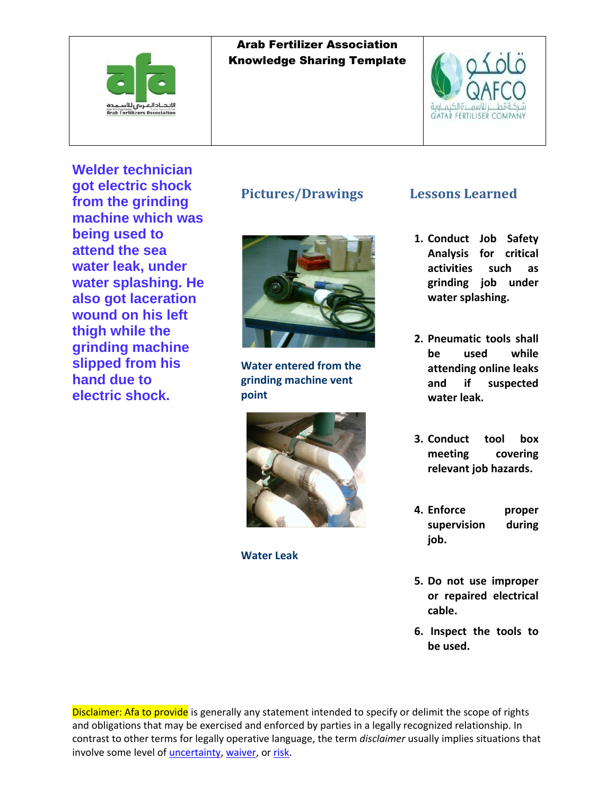



**Welder technician got electric shock from the grinding machine which was being used to attend the sea water leak, under water splashing. He also got laceration wound on his left thigh while the grinding machine slipped from his hand due to electric shock.**

#### **Pictures/Drawings**



**Water entered from the grinding machine vent point**



**Water Leak**

#### **Lessons Learned**

- **1. Conduct Job Safety Analysis for critical activities such as grinding job under water splashing.**
- **2. Pneumatic tools shall be used while attending online leaks and if suspected water leak.**
- **3. Conduct tool box meeting covering relevant job hazards.**
- **4. Enforce proper supervision during job.**
- **5. Do not use improper or repaired electrical cable.**
- **6. Inspect the tools to be used.**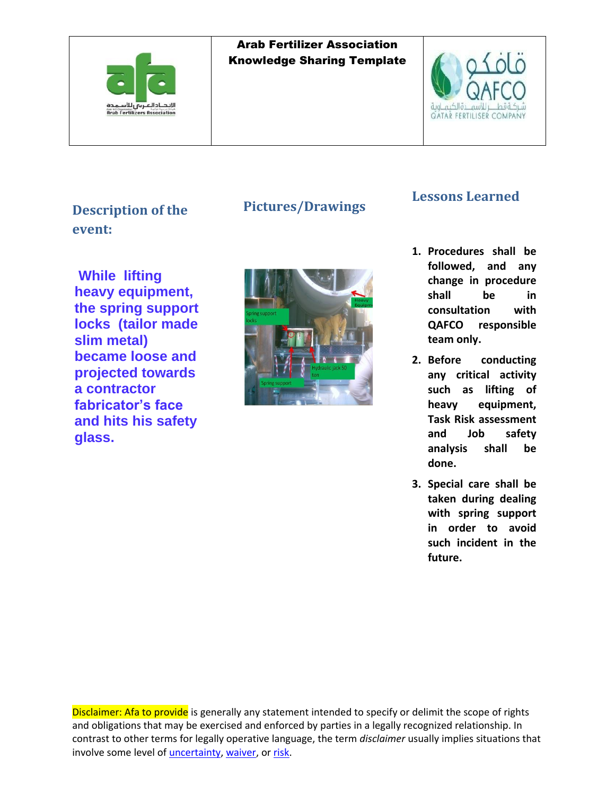



## **Description of the event:**

## **Pictures/Drawings**

**While lifting heavy equipment, the spring support locks (tailor made slim metal) became loose and projected towards a contractor fabricator's face and hits his safety glass.**



## **Lessons Learned**

- **1. Procedures shall be followed, and any change in procedure shall be in consultation with QAFCO responsible team only.**
- **2. Before conducting any critical activity such as lifting of heavy equipment, Task Risk assessment and Job safety analysis shall be done.**
- **3. Special care shall be taken during dealing with spring support in order to avoid such incident in the future.**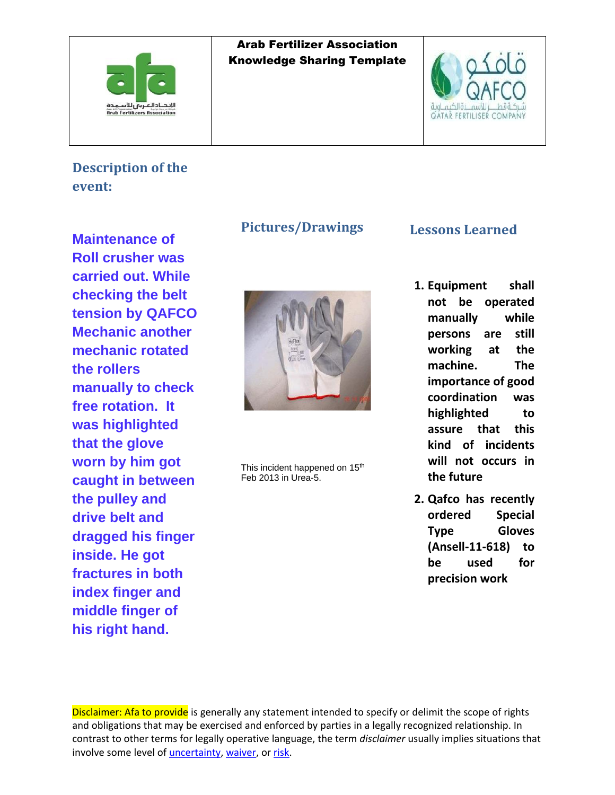



## **Description of the event:**

**Maintenance of Roll crusher was carried out. While checking the belt tension by QAFCO Mechanic another mechanic rotated the rollers manually to check free rotation. It was highlighted that the glove worn by him got caught in between the pulley and drive belt and dragged his finger inside. He got fractures in both index finger and middle finger of his right hand.**

#### **Pictures/Drawings**



This incident happened on 15<sup>th</sup> Feb 2013 in Urea-5.

#### **Lessons Learned**

- **1. [Equipment shall](http://notesportal.qafco.com.qa/Techserv/Safety/TestSafe.nsf/CorrectiveAction.xsp?documentId=57ADCFD51F4F93EE43257B1C001A6BBA&action=editDocument)  not [be operated](http://notesportal.qafco.com.qa/Techserv/Safety/TestSafe.nsf/CorrectiveAction.xsp?documentId=57ADCFD51F4F93EE43257B1C001A6BBA&action=editDocument)  [manually while](http://notesportal.qafco.com.qa/Techserv/Safety/TestSafe.nsf/CorrectiveAction.xsp?documentId=57ADCFD51F4F93EE43257B1C001A6BBA&action=editDocument)  [persons are still](http://notesportal.qafco.com.qa/Techserv/Safety/TestSafe.nsf/CorrectiveAction.xsp?documentId=57ADCFD51F4F93EE43257B1C001A6BBA&action=editDocument)  [working at](http://notesportal.qafco.com.qa/Techserv/Safety/TestSafe.nsf/CorrectiveAction.xsp?documentId=57ADCFD51F4F93EE43257B1C001A6BBA&action=editDocument) the [machine.](http://notesportal.qafco.com.qa/Techserv/Safety/TestSafe.nsf/CorrectiveAction.xsp?documentId=57ADCFD51F4F93EE43257B1C001A6BBA&action=editDocument) The importance of good coordination was highlighted to assure that this kind of incidents will not occurs in the future**
- **2. Qafco has recently ordered Special Type Gloves (Ansell-11-618) to be used for precision work**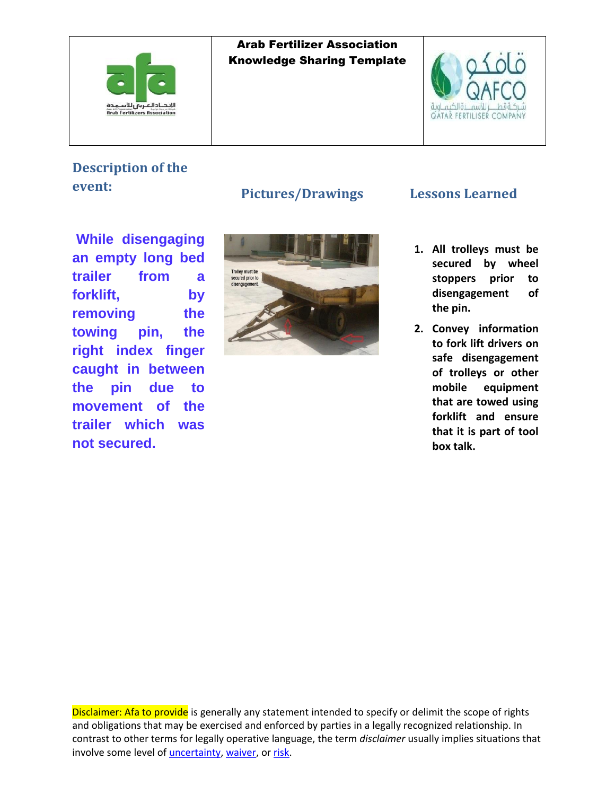



# **Description of the event:**

**While disengaging an empty long bed trailer from a forklift, by removing the towing pin, the right index finger caught in between the pin due to movement of the trailer which was not secured.** 



## **Pictures/Drawings Lessons Learned**

- **1. All trolleys must be secured by wheel stoppers prior to disengagement of the pin.**
- **2. Convey information to fork lift drivers on safe disengagement of trolleys or other mobile equipment that are towed using forklift and ensure that it is part of tool box talk.**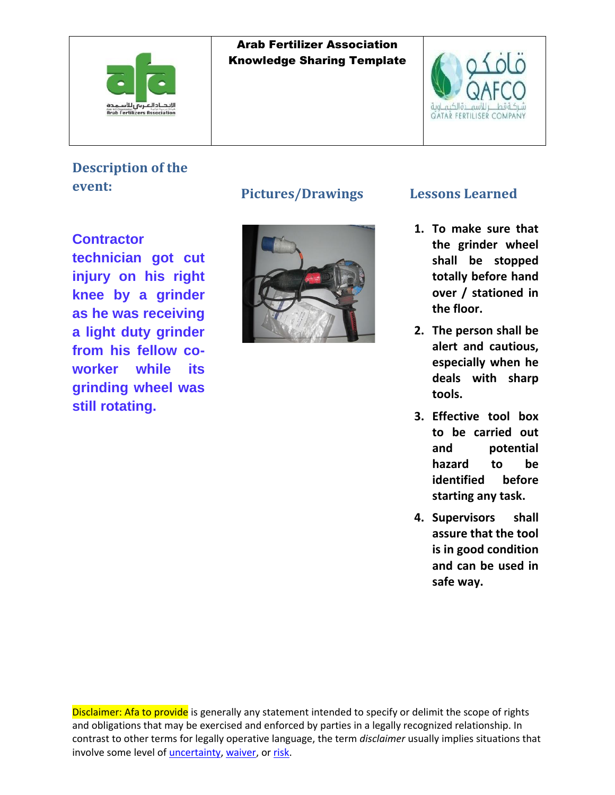



## **Description of the event:**

**Contractor technician got cut injury on his right knee by a grinder as he was receiving a light duty grinder from his fellow coworker while its grinding wheel was still rotating.**

#### **Pictures/Drawings Lessons Learned**



- **1. To make sure that the grinder wheel shall be stopped totally before hand over / stationed in the floor.**
- **2. The person shall be alert and cautious, especially when he deals with sharp tools.**
- **3. Effective tool box to be carried out and potential hazard to be identified before starting any task.**
- **4. Supervisors shall assure that the tool is in good condition and can be used in safe way.**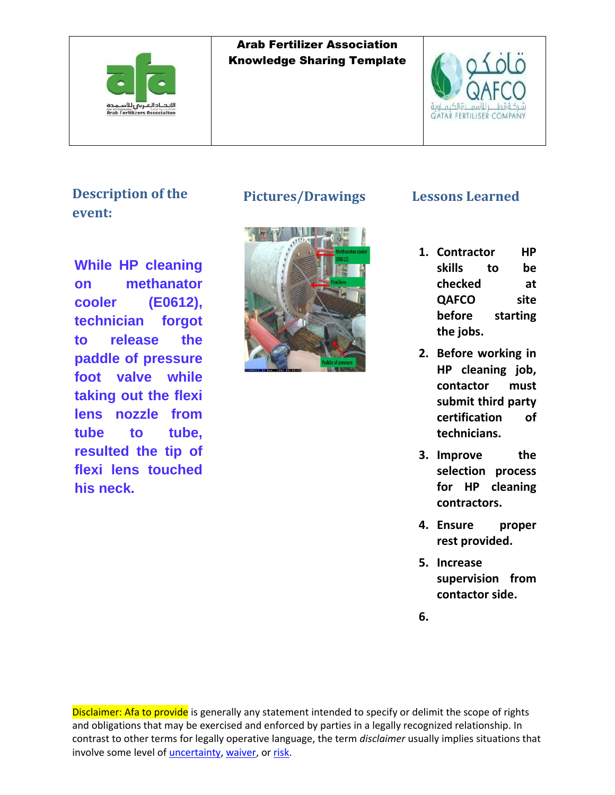



**Description of the event:**

**While HP cleaning on methanator cooler (E0612), technician forgot to release the paddle of pressure foot valve while taking out the flexi lens nozzle from tube to tube, resulted the tip of flexi lens touched his neck.**



#### **Pictures/Drawings Lessons Learned**

- **1. Contractor HP skills to be checked at QAFCO site before starting the jobs.**
- **2. Before working in HP cleaning job, contactor must submit third party certification of technicians.**
- **3. Improve the selection process for HP cleaning contractors.**
- **4. Ensure proper rest provided.**
- **5. Increase supervision from contactor side.**
- **6.**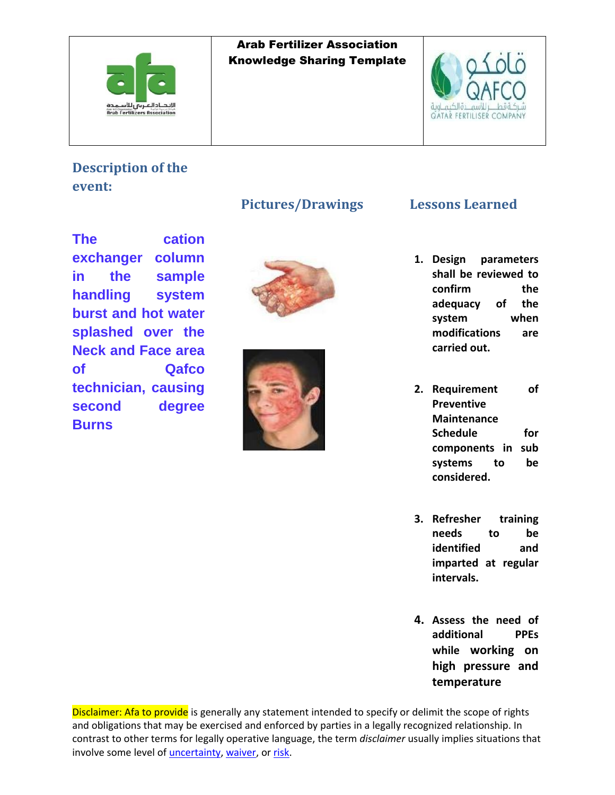



# **Description of the event:**

**The cation exchanger column in the sample handling system burst and hot water splashed over the Neck and Face area of Qafco technician, causing second degree Burns**

#### **Pictures/Drawings Lessons Learned**





- **1. Design parameters shall be reviewed to confirm the adequacy of the system when modifications are carried out.**
- **2. Requirement of Preventive Maintenance Schedule for components in sub systems to be considered.**
- **3. Refresher training needs to be identified and imparted at regular intervals.**
- **4. Assess the need of additional PPEs while working on high pressure and temperature**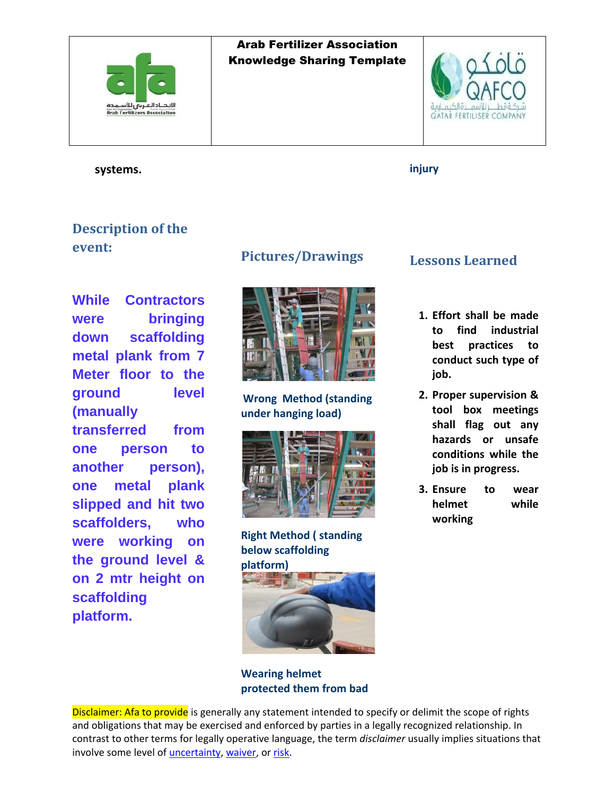



**systems.** 

**injury**

## **Description of the event:**

**While Contractors were bringing down scaffolding metal plank from 7 Meter floor to the ground level (manually transferred from one person to another person), one metal plank slipped and hit two scaffolders, who were working on the ground level & on 2 mtr height on scaffolding platform.**

#### **Pictures/Drawings**



#### **Wrong Method (standing under hanging load)**



**Right Method ( standing below scaffolding platform)** 



#### **Wearing helmet protected them from bad**

## **Lessons Learned**

- **1. Effort shall be made to find industrial best practices to conduct such type of job.**
- **2. Proper supervision & tool box meetings shall flag out any hazards or unsafe conditions while the job is in progress.**
- **3. Ensure to wear helmet while working**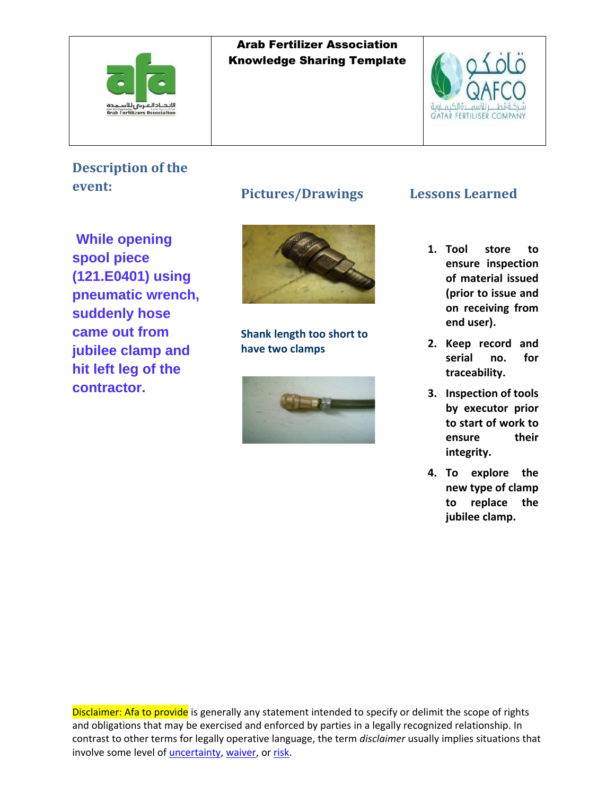



# **Description of the event:**

**While opening spool piece (121.E0401) using pneumatic wrench, suddenly hose came out from jubilee clamp and hit left leg of the contractor.**

#### **Pictures/Drawings**



**Shank length too short to have two clamps**



#### **Lessons Learned**

- **1. Tool store to ensure inspection of material issued (prior to issue and on receiving from end user).**
- **2. Keep record and serial no. for traceability.**
- **3. Inspection of tools by executor prior to start of work to ensure their integrity.**
- **4. To explore the new type of clamp to replace the jubilee clamp.**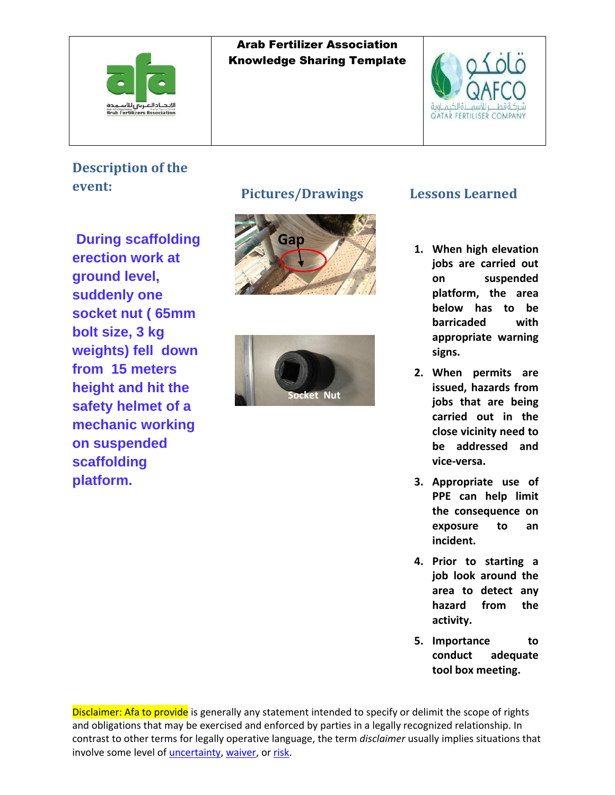



# **Description of the event:**

**During scaffolding erection work at ground level, suddenly one socket nut ( 65mm bolt size, 3 kg weights) fell down from 15 meters height and hit the safety helmet of a mechanic working on suspended scaffolding platform.**

#### **Pictures/Drawings**





#### **Lessons Learned**

- **1. When high elevation jobs are carried out on suspended platform, the area below has to be barricaded with appropriate warning signs.**
- **2. When permits are issued, hazards from jobs that are being carried out in the close vicinity need to be addressed and vice-versa.**
- **3. Appropriate use of PPE can help limit the consequence on exposure to an incident.**
- **4. Prior to starting a job look around the area to detect any hazard from the activity.**
- **5. Importance to conduct adequate tool box meeting.**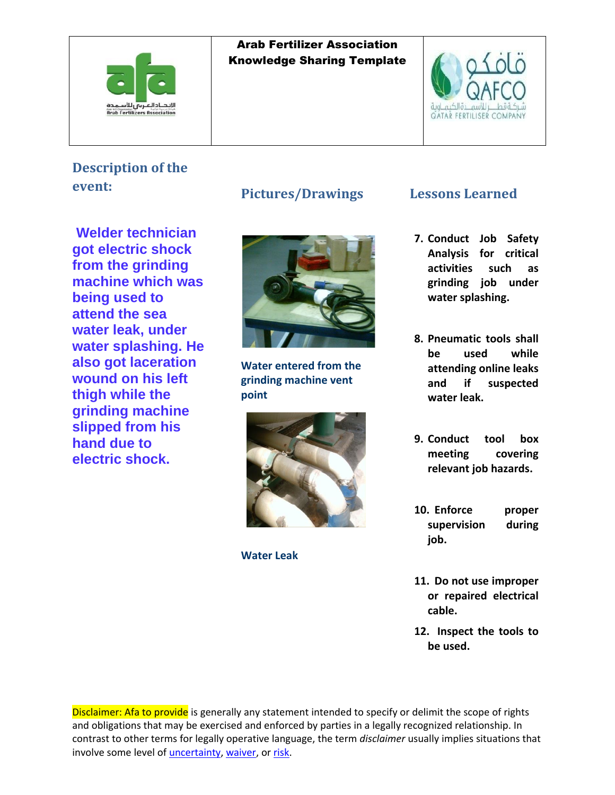



## **Description of the event:**

**Welder technician got electric shock from the grinding machine which was being used to attend the sea water leak, under water splashing. He also got laceration wound on his left thigh while the grinding machine slipped from his hand due to electric shock.**

#### **Pictures/Drawings**



**Water entered from the grinding machine vent point**



**Water Leak**

#### **Lessons Learned**

- **7. Conduct Job Safety Analysis for critical activities such as grinding job under water splashing.**
- **8. Pneumatic tools shall be used while attending online leaks and if suspected water leak.**
- **9. Conduct tool box meeting covering relevant job hazards.**
- **10. Enforce proper supervision during job.**
- **11. Do not use improper or repaired electrical cable.**
- **12. Inspect the tools to be used.**